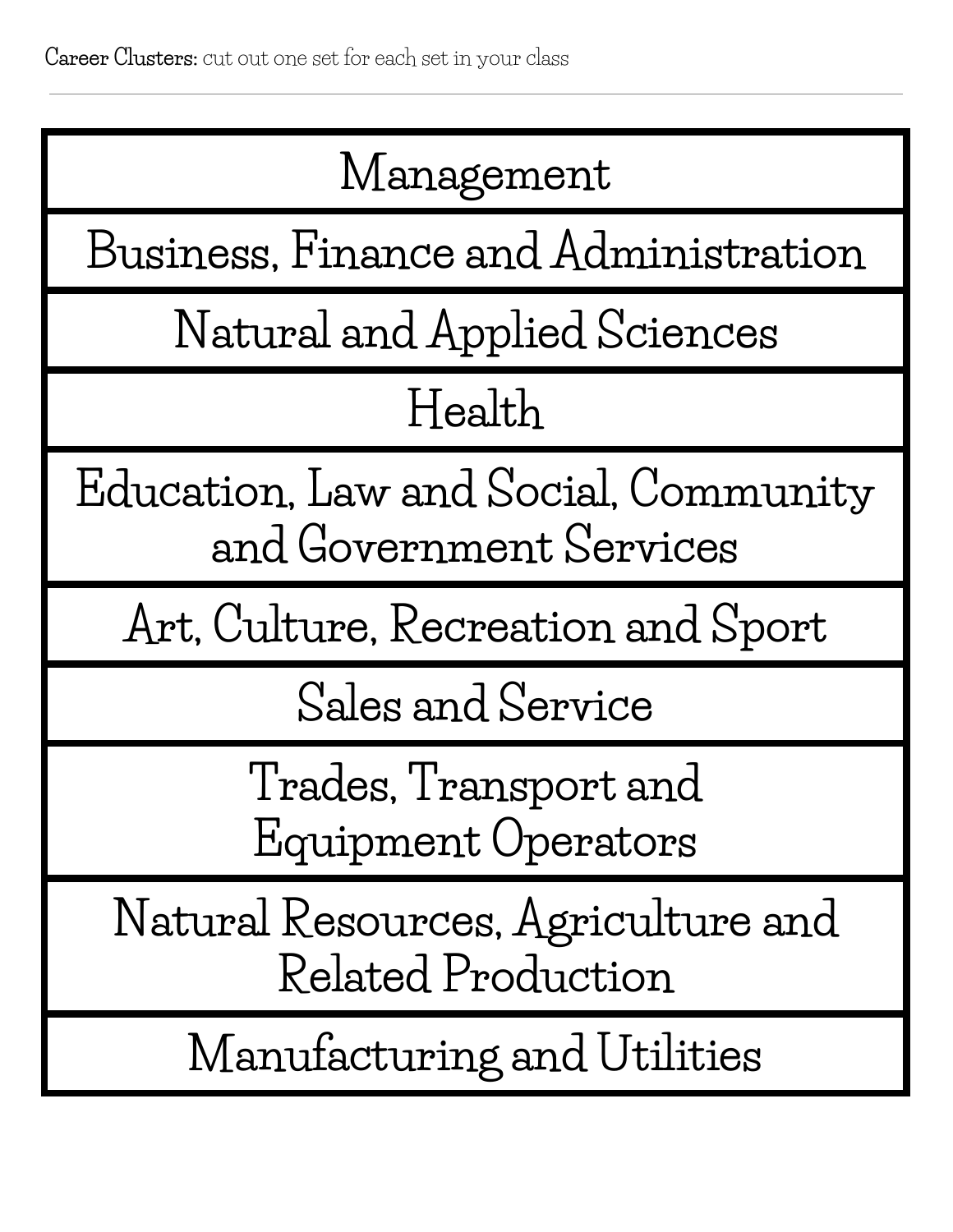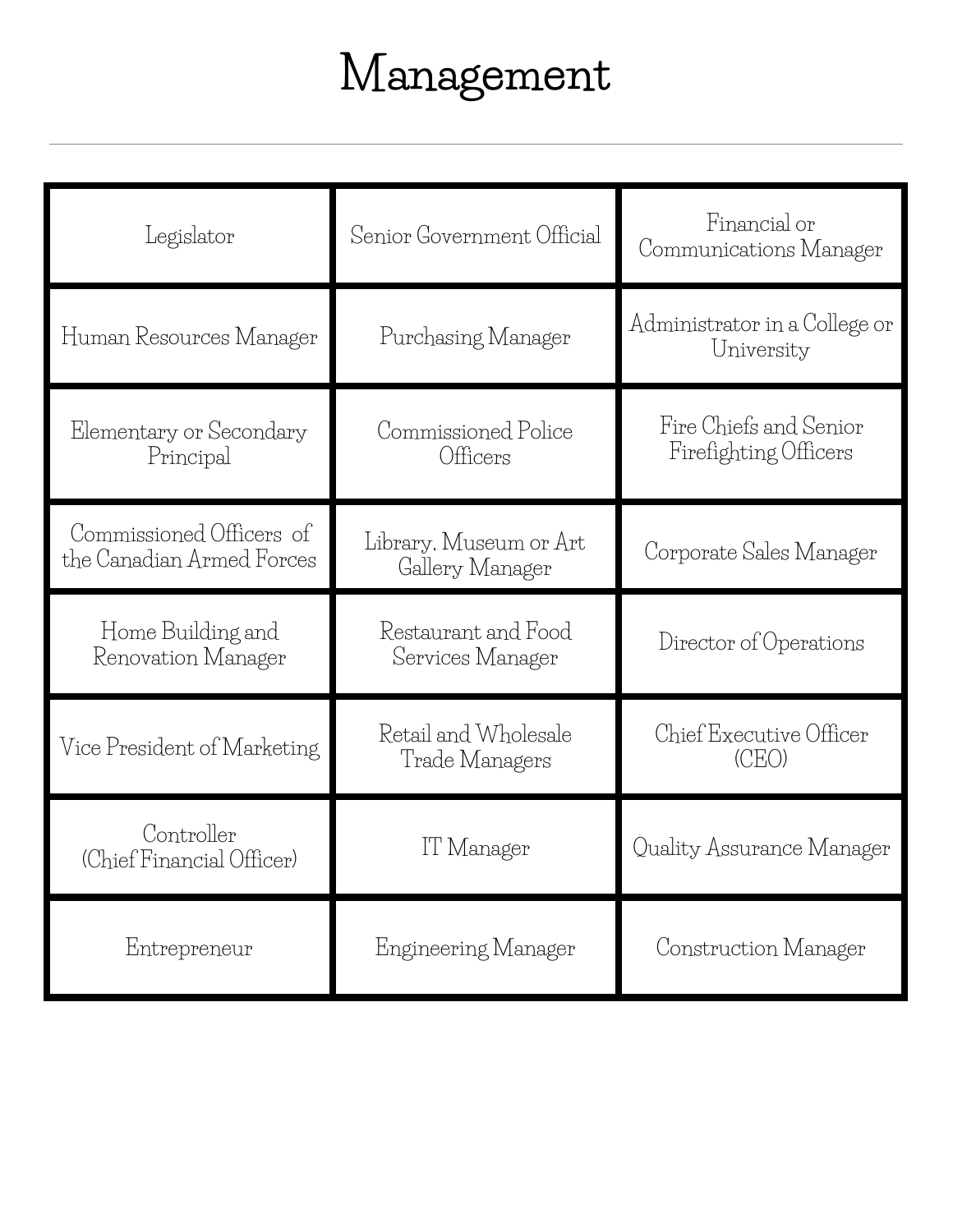# **Management**

| Legislator                                            | Senior Government Official                | Financial or<br>Communications Manager          |
|-------------------------------------------------------|-------------------------------------------|-------------------------------------------------|
| Human Resources Manager                               | Purchasing Manager                        | Administrator in a College or<br>University     |
| Elementary or Secondary<br>Principal                  | Commissioned Police<br>Officers           | Fire Chiefs and Senior<br>Firefighting Officers |
| Commissioned Officers of<br>the Canadian Armed Forces | Library, Museum or Art<br>Gallery Manager | Corporate Sales Manager                         |
| Home Building and<br>Renovation Manager               | Restaurant and Food<br>Services Manager   | Director of Operations                          |
| Vice President of Marketing                           | Retail and Wholesale<br>Trade Managers    | Chief Executive Officer<br>(CEO)                |
| Controller<br>(Chief Financial Officer)               | l'l' Manager                              | Quality Assurance Manager                       |
| Entrepreneur                                          | Engineering Manager                       | Construction Manager                            |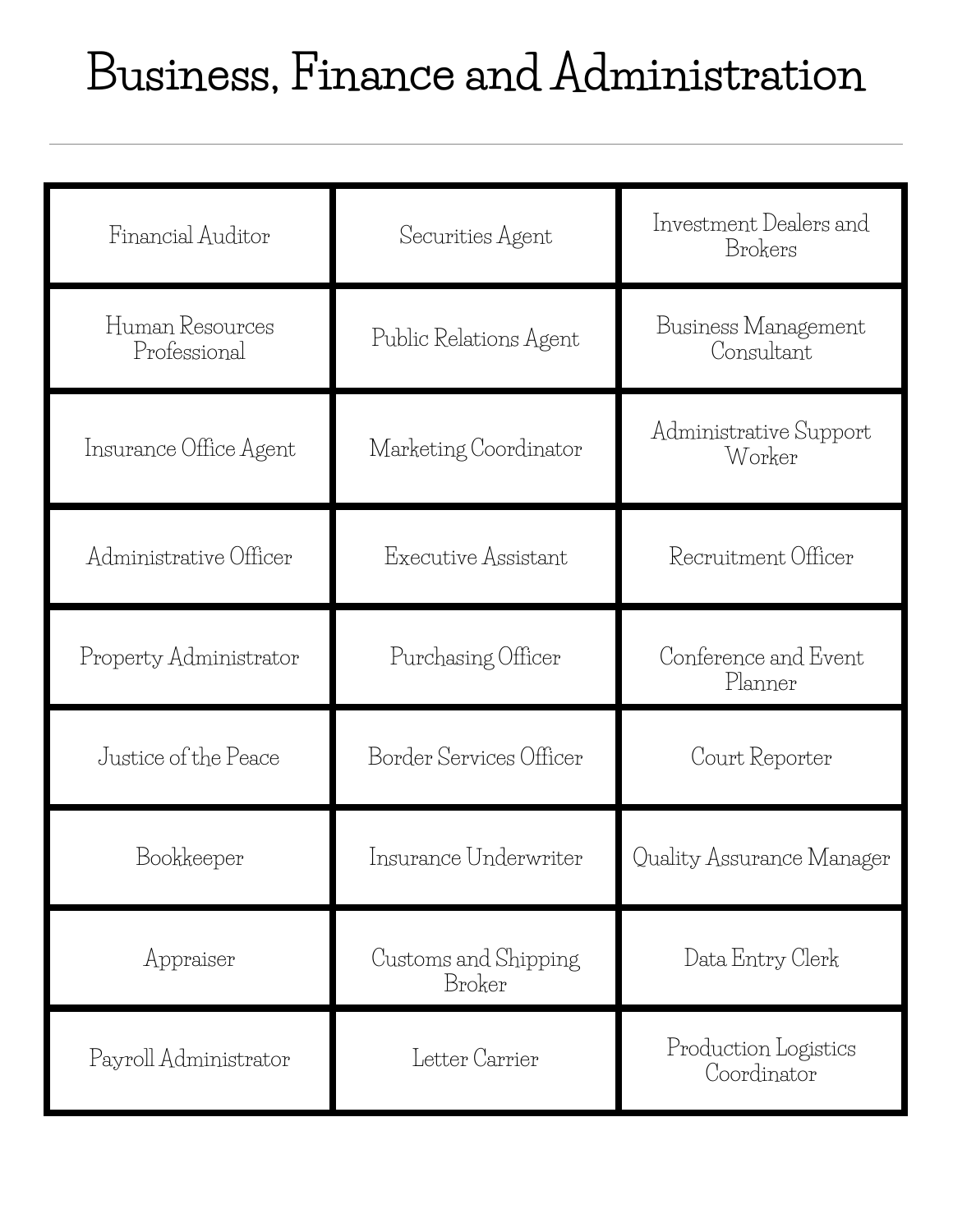### **Business, Finance and Administration**

| Financial Auditor               | Securities Agent               | Investment Dealers and<br>Brokers   |
|---------------------------------|--------------------------------|-------------------------------------|
| Human Resources<br>Professional | Public Relations Agent         | Business Management<br>Consultant   |
| Insurance Office Agent          | Marketing Coordinator          | Administrative Support<br>Worker    |
| Administrative Officer          | Executive Assistant            | Recruitment Officer                 |
| Property Administrator          | Purchasing Officer             | Conference and Event<br>Planner     |
| Justice of the Peace            | Border Services Officer        | Court Reporter                      |
| Bookkeeper                      | Insurance Underwriter          | Quality Assurance Manager           |
| Appraiser                       | Customs and Shipping<br>Broker | Data Entry Clerk                    |
| Payroll Administrator           | Letter Carrier                 | Production Logistics<br>Coordinator |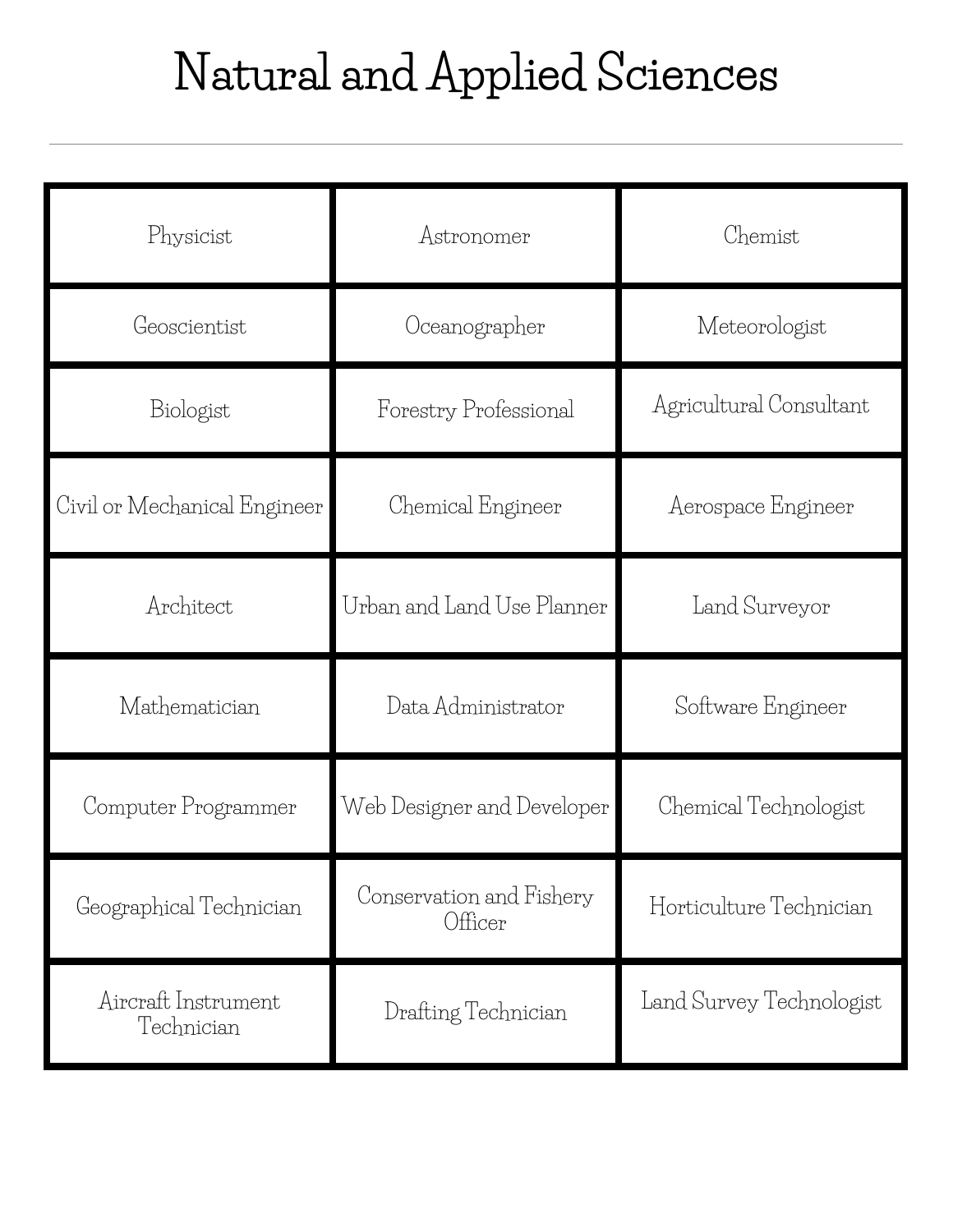## **Natural and Applied Sciences**

| Physicist                         | Astronomer                          | Chemist                  |
|-----------------------------------|-------------------------------------|--------------------------|
| Geoscientist                      | Oceanographer                       | Meteorologist            |
| Biologist                         | Forestry Professional               | Agricultural Consultant  |
| Civil or Mechanical Engineer      | Chemical Engineer                   | Aerospace Engineer       |
| Architect                         | Urban and Land Use Planner          | Land Surveyor            |
| Mathematician                     | Data Administrator                  | Software Engineer        |
| Computer Programmer               | Web Designer and Developer          | Chemical Technologist    |
| Geographical Technician           | Conservation and Fishery<br>Officer | Horticulture Technician  |
| Aircraft Instrument<br>Technician | Drafting Technician                 | Land Survey Technologist |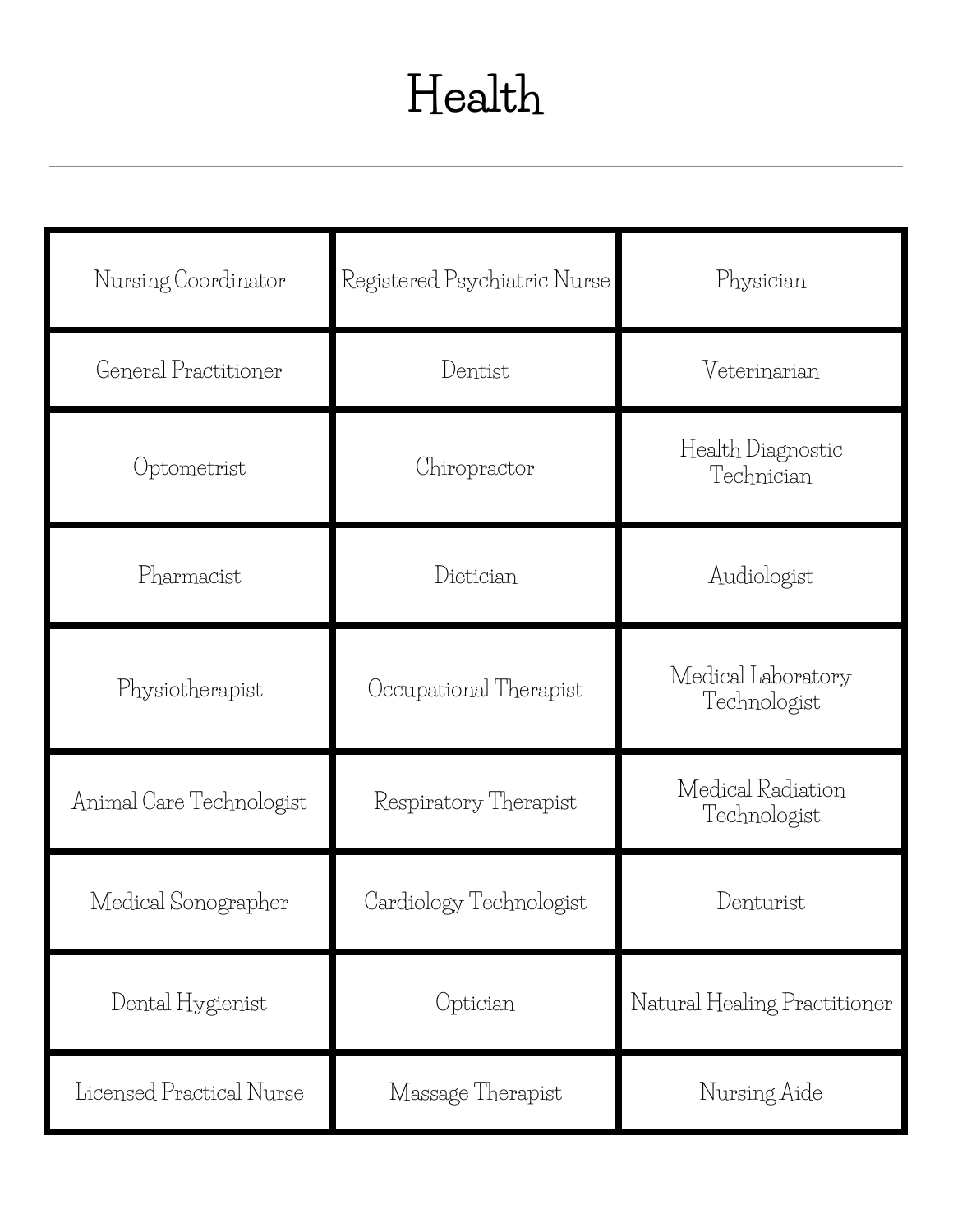### **Health**

| Nursing Coordinator      | Registered Psychiatric Nurse | Physician                          |
|--------------------------|------------------------------|------------------------------------|
| General Practitioner     | Dentist                      | Veterinarian                       |
| Optometrist              | Chiropractor                 | Health Diagnostic<br>Technician    |
| Pharmacist               | Dietician                    | Audiologist                        |
| Physiotherapist          | Occupational Therapist       | Medical Laboratory<br>Technologist |
| Animal Care Technologist | Respiratory Therapist        | Medical Radiation<br>Technologist  |
| Medical Sonographer      | Cardiology Technologist      | Denturist                          |
| Dental Hygienist         | Optician                     | Natural Healing Practitioner       |
| Licensed Practical Nurse | Massage Therapist            | Nursing Aide                       |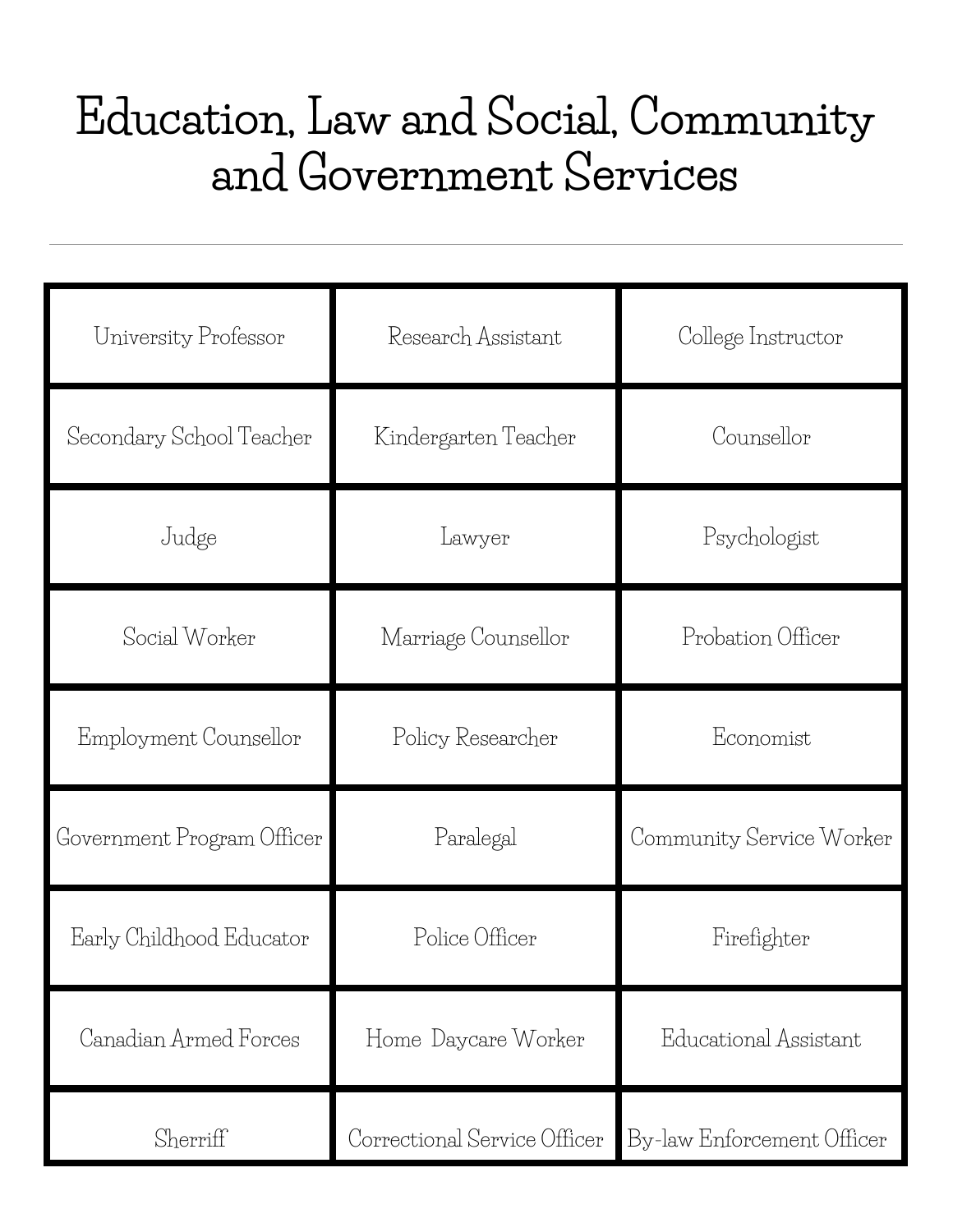#### **Education, Law and Social, Community and Government Services**

| University Professor       | Research Assistant           | College Instructor         |
|----------------------------|------------------------------|----------------------------|
| Secondary School Teacher   | Kindergarten Teacher         | Counsellor                 |
| Judge                      | Lawyer                       | Psychologist               |
| Social Worker              | Marriage Counsellor          | Probation Officer          |
| Employment Counsellor      | Policy Researcher            | Economist                  |
| Government Program Officer | Paralegal                    | Community Service Worker   |
| Early Childhood Educator   | Police Officer               | Firefighter                |
| Canadian Armed Forces      | Home Daycare Worker          | Educational Assistant      |
| Sherriff                   | Correctional Service Officer | By-law Enforcement Officer |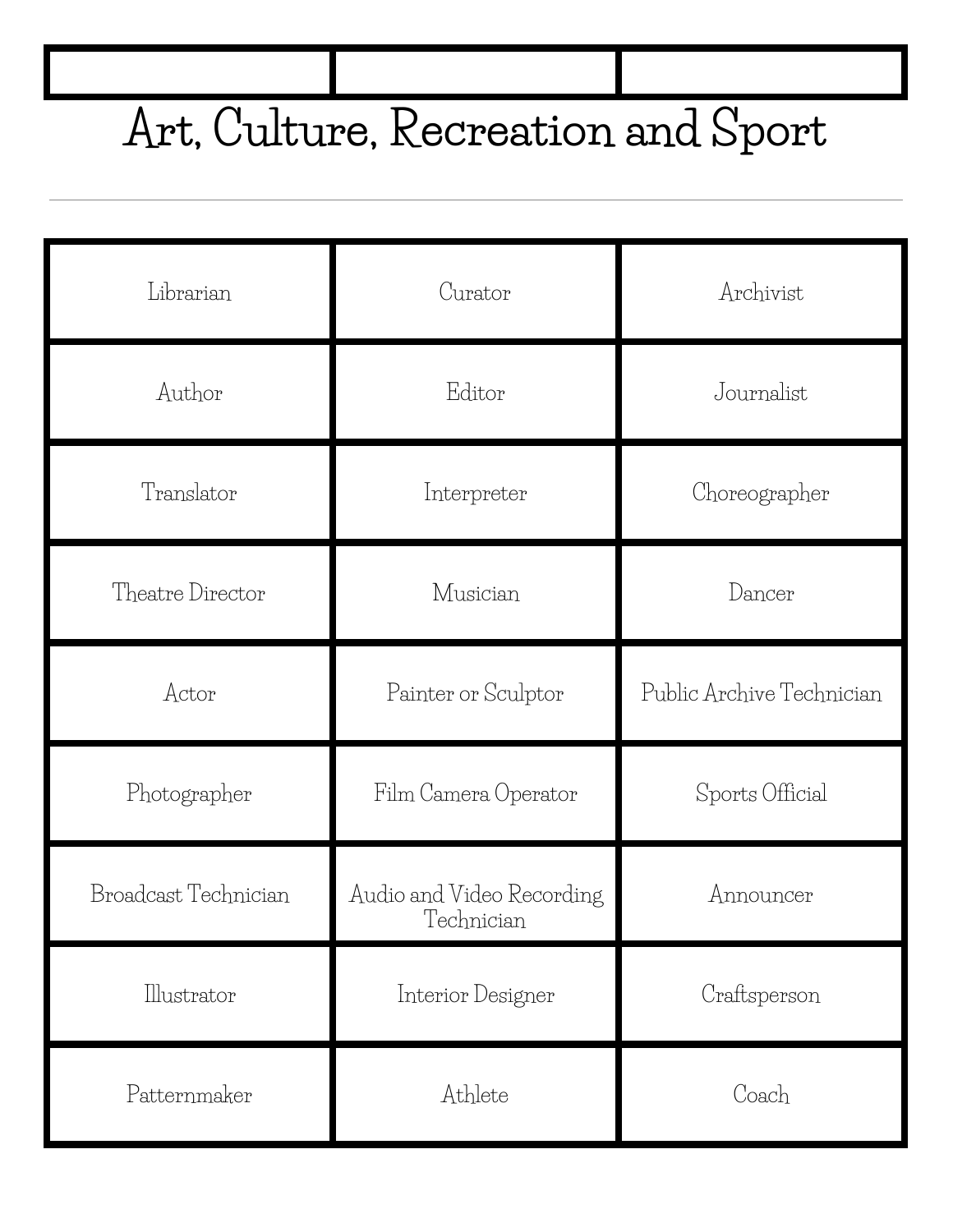# **Art, Culture, Recreation and Sport**

| Librarian            | Curator                                 | Archivist                 |
|----------------------|-----------------------------------------|---------------------------|
| Author               | Editor                                  | Journalist                |
| Translator           | Interpreter                             | Choreographer             |
| Theatre Director     | Musician                                | Dancer                    |
| Actor                | Painter or Sculptor                     | Public Archive Technician |
| Photographer         | Film Camera Operator                    | Sports Official           |
| Broadcast Technician | Audio and Video Recording<br>Technician | Announcer                 |
| Illustrator          | Interior Designer                       | Craftsperson              |
| Patternmaker         | Athlete                                 | Coach                     |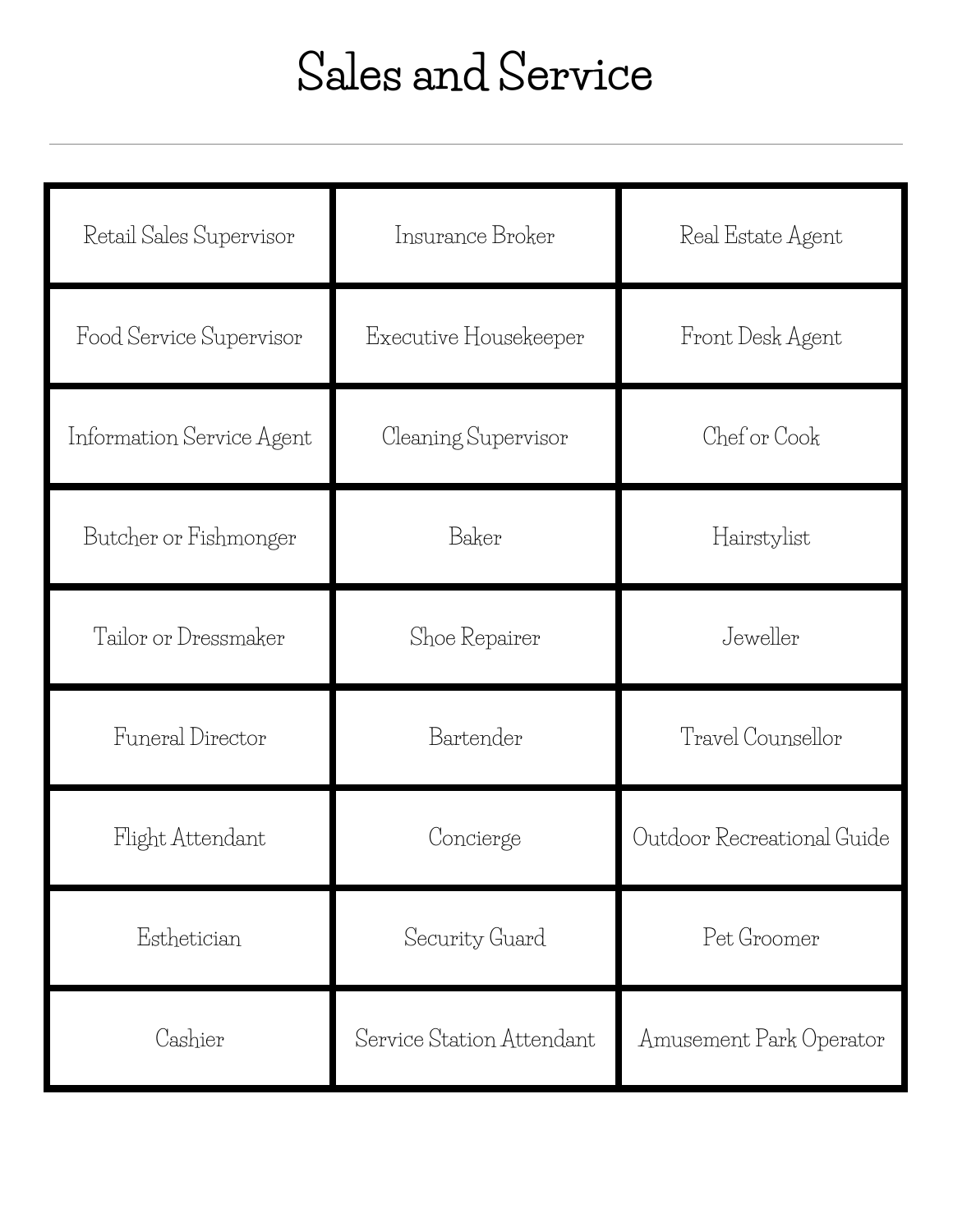## **Sales and Service**

| Retail Sales Supervisor   | Insurance Broker          | Real Estate Agent          |
|---------------------------|---------------------------|----------------------------|
| Food Service Supervisor   | Executive Housekeeper     | Front Desk Agent           |
| Information Service Agent | Cleaning Supervisor       | Chef or Cook               |
| Butcher or Fishmonger     | Baker                     | Hairstylist                |
| Tailor or Dressmaker      | Shoe Repairer             | Jeweller                   |
| Funeral Director          | Bartender                 | Travel Counsellor          |
| Flight Attendant          | Concierge                 | Outdoor Recreational Guide |
| Esthetician               | Security Guard            | Pet Groomer                |
| Cashier                   | Service Station Attendant | Amusement Park Operator    |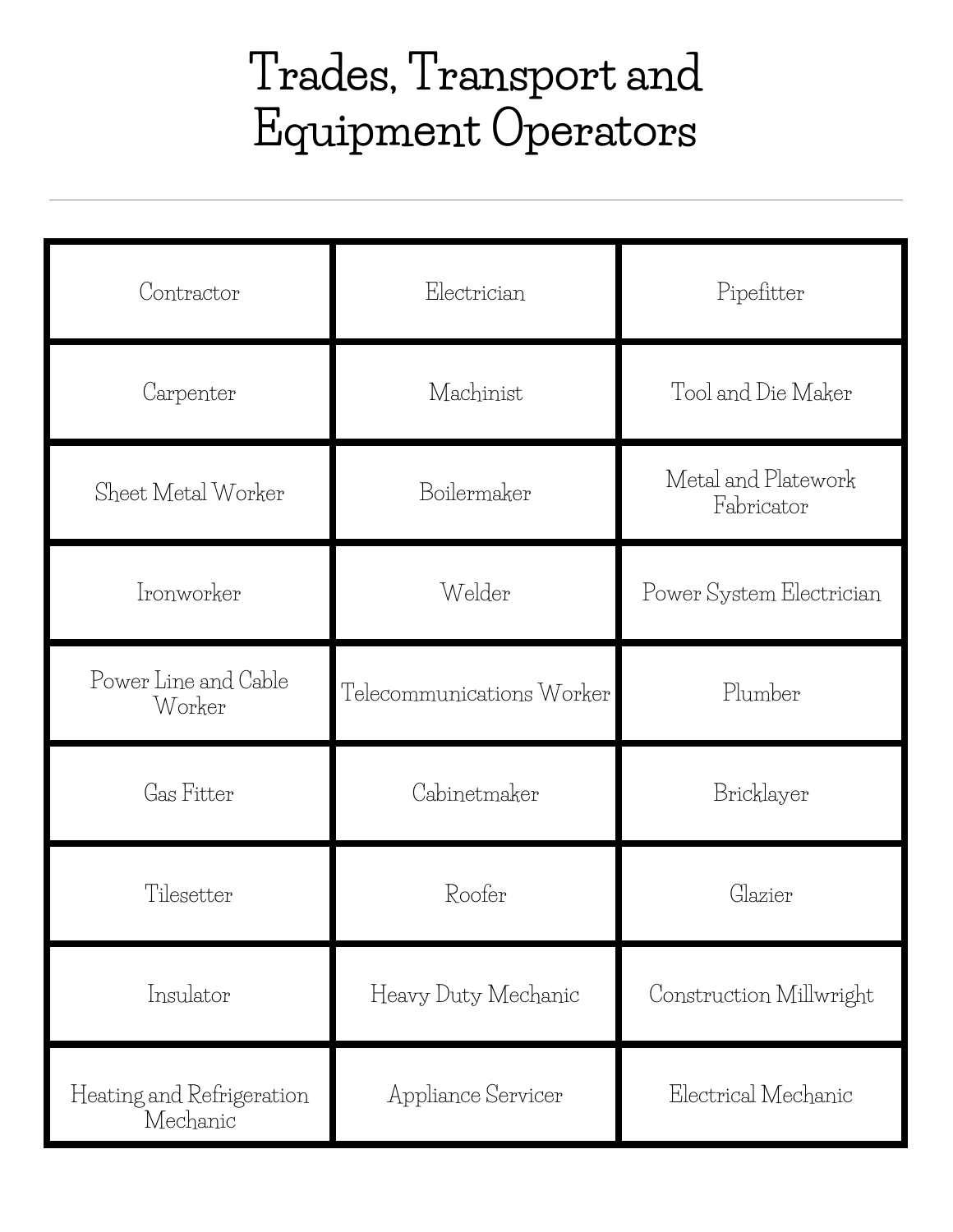### **Trades, Transport and Equipment Operators**

| Contractor                            | Electrician               | Pipefitter                        |
|---------------------------------------|---------------------------|-----------------------------------|
| Carpenter                             | Machinist                 | Tool and Die Maker                |
| Sheet Metal Worker                    | Boilermaker               | Metal and Platework<br>Fabricator |
| Ironworker                            | Welder                    | Power System Electrician          |
| Power Line and Cable<br>Worker        | Telecommunications Worker | Plumber                           |
| Gas Fitter                            | Cabinetmaker              | Bricklayer                        |
| Tilesetter                            | Roofer                    | Glazier                           |
| Insulator                             | Heavy Duty Mechanic       | Construction Millwright           |
| Heating and Refrigeration<br>Mechanic | Appliance Servicer        | Electrical Mechanic               |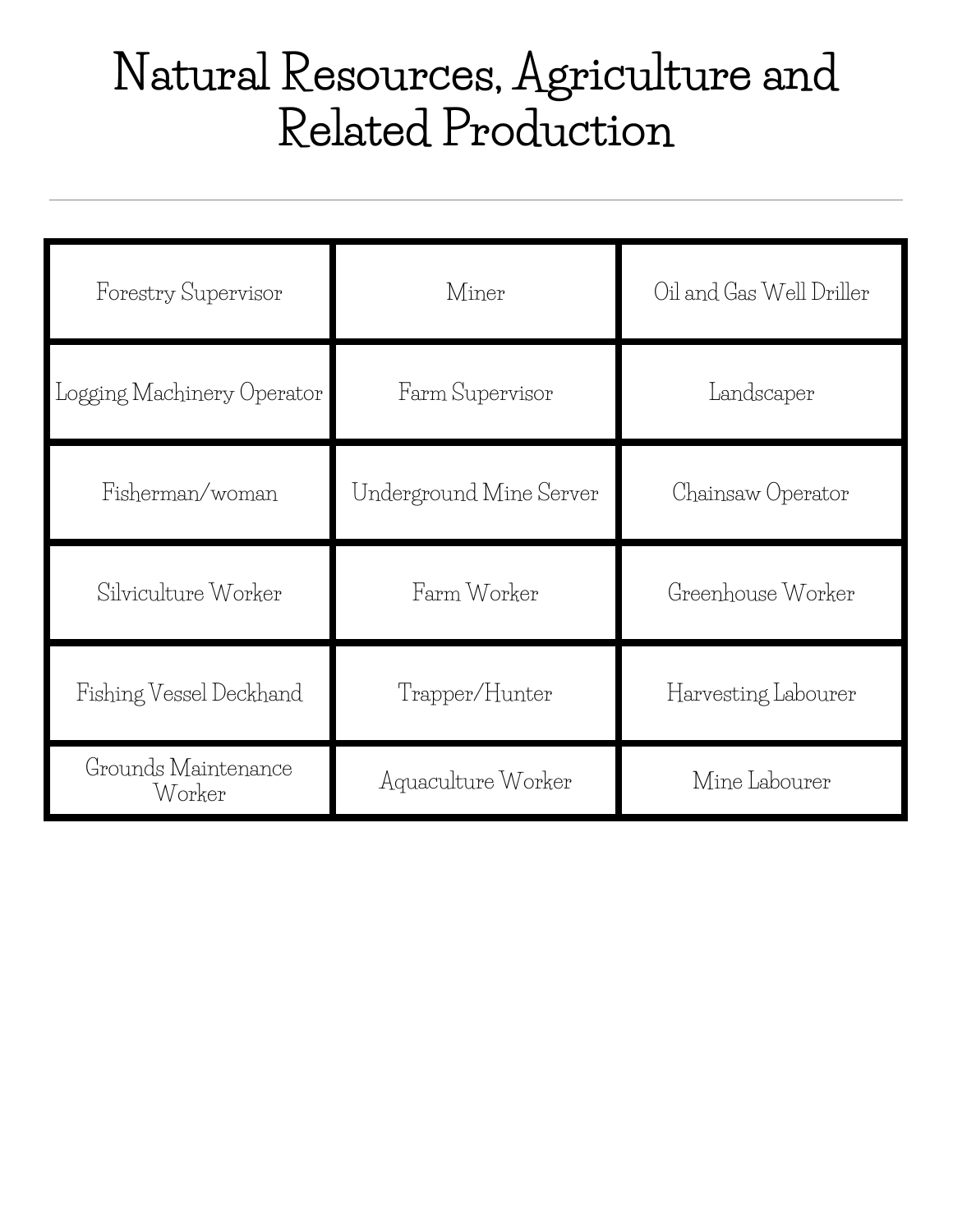### **Natural Resources, Agriculture and Related Production**

| Forestry Supervisor           | Miner                   | Oil and Gas Well Driller |
|-------------------------------|-------------------------|--------------------------|
| Logging Machinery Operator    | Farm Supervisor         | Landscaper               |
| Fisherman/woman               | Underground Mine Server | Chainsaw Operator        |
| Silviculture Worker           | Farm Worker             | Greenhouse Worker        |
| Fishing Vessel Deckhand       | Trapper/Hunter          | Harvesting Labourer      |
| Grounds Maintenance<br>Worker | Aquaculture Worker      | Mine Labourer            |